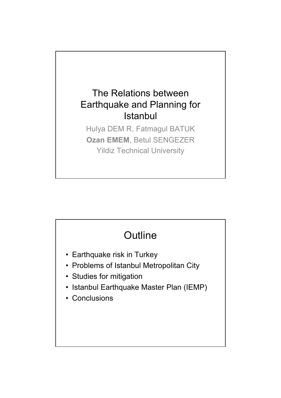### The Relations between Earthquake and Planning for **Istanbul**

Hulya DEM R, Fatmagul BATUK **Ozan EMEM**, Betul SENGEZER Yildiz Technical University

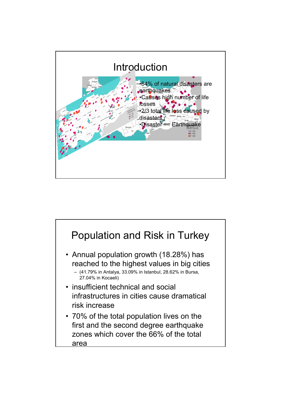

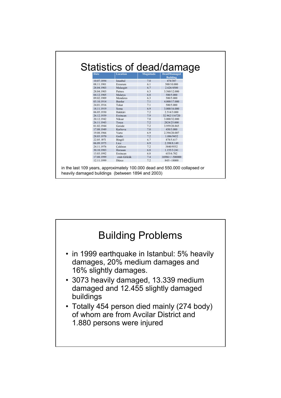| <b>Date</b> | Statistics of dead/damage<br><b>Location</b> | Magnitude | <b>Dead/Damaged</b><br><b>Building</b> |
|-------------|----------------------------------------------|-----------|----------------------------------------|
| 10.07.1894  | Istanbul                                     | 7.0       | 474/387                                |
| 08.11.1901  | Erzurum                                      | 6.1       | 500/10.000                             |
| 28.04.1903  | Malazgirt                                    | 6.7       | 2.626/4500                             |
| 28.04.1903  | Patnos                                       | 6.3       | 3.560/12.000                           |
| 04.12.1905  | Malatya                                      | 6.8       | 500/5.000                              |
| 09.02.1909  | Menderes                                     | 6.3       | 500/5.000                              |
| 03.10.1914  | Burdur                                       | 7.1       | 4.000/17.000                           |
| 24.01.1916  | Tokat                                        | 7.1       | 500/5.000                              |
| 18.11.1919  | Soma                                         | 6.9       | 3.000/16.000                           |
| 06.05.1930  | Hakkâri                                      | 7.2       | 2.514/3.000                            |
| 26.12.1939  | Erzincan                                     | 7.9       | 32.962/116720                          |
| 20.12.1942  | Niksar                                       | 7.0       | 3.000/32.000                           |
| 26.11.1943  | Tosya                                        | 7.2       | 2824/25.000                            |
| 01.02.1944  | Gerede                                       | 7.2       | 3.959/20.865                           |
| 17.08.1949  | Karliova                                     | 7.0       | 450/3.000                              |
| 19.08.1966  | Varto                                        | 6.9       | 2.394/20.007                           |
| 28.03.1970  | Gediz                                        | 7.2       | 1.086/9452                             |
| 22.05.1971  | Bingöl                                       | 6.7       | 878/5.617                              |
| 06.09.1975  | Lice                                         | 6.9       | 2.398/8.149                            |
| 24.11.1976  | Caldıran                                     | 7.2       | 3840/9552                              |
| 30.10.1983  | Horasan                                      | 6.8       | 1.155/3.241                            |
| 13.03.1992  | Erzincan                                     | 6.8       | 653/6.702                              |
| 17.08.1999  | zmit-Gölcük                                  | 7.4       | 16986+/~500000                         |
| 12.11.1999  | Düzce                                        | 7.2       | 845/~18000                             |

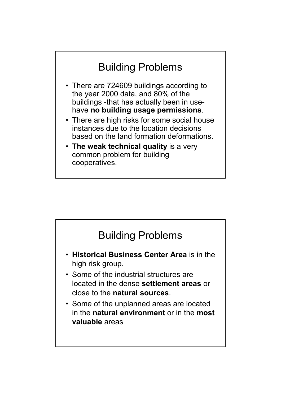# Building Problems

- There are 724609 buildings according to the year 2000 data, and 80% of the buildings -that has actually been in usehave **no building usage permissions**.
- There are high risks for some social house instances due to the location decisions based on the land formation deformations.
- **The weak technical quality** is a very common problem for building cooperatives.

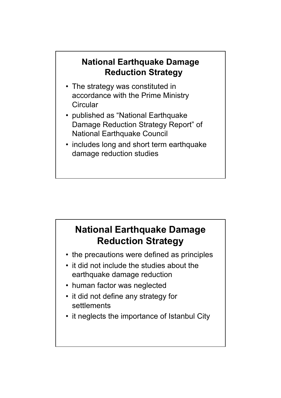### **National Earthquake Damage Reduction Strategy**

- The strategy was constituted in accordance with the Prime Ministry **Circular**
- published as "National Earthquake Damage Reduction Strategy Report" of National Earthquake Council
- includes long and short term earthquake damage reduction studies

### **National Earthquake Damage Reduction Strategy**

- the precautions were defined as principles
- it did not include the studies about the earthquake damage reduction
- human factor was neglected
- it did not define any strategy for settlements
- it neglects the importance of Istanbul City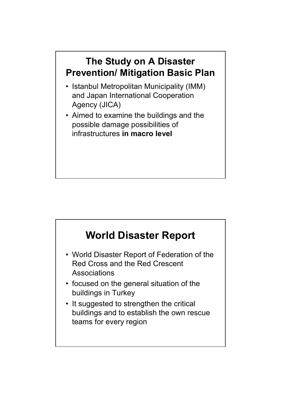### **The Study on A Disaster Prevention/ Mitigation Basic Plan**

- Istanbul Metropolitan Municipality (IMM) and Japan International Cooperation Agency (JICA)
- Aimed to examine the buildings and the possible damage possibilities of infrastructures **in macro level**

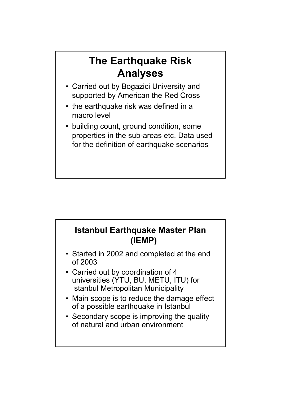## **The Earthquake Risk Analyses**

- Carried out by Bogazici University and supported by American the Red Cross
- the earthquake risk was defined in a macro level
- building count, ground condition, some properties in the sub-areas etc. Data used for the definition of earthquake scenarios

### **Istanbul Earthquake Master Plan (IEMP)**

- Started in 2002 and completed at the end of 2003
- Carried out by coordination of 4 universities (YTU, BU, METU, ITU) for stanbul Metropolitan Municipality
- Main scope is to reduce the damage effect of a possible earthquake in Istanbul
- Secondary scope is improving the quality of natural and urban environment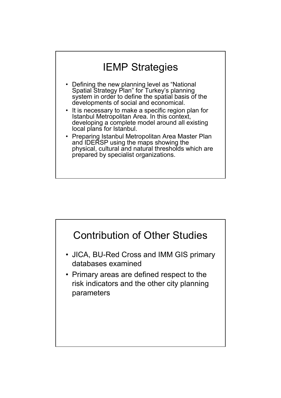# IEMP Strategies

- Defining the new planning level as "National Spatial Strategy Plan" for Turkey's planning system in order to define the spatial basis of the developments of social and economical.
- It is necessary to make a specific region plan for Istanbul Metropolitan Area. In this context, developing a complete model around all existing local plans for Istanbul.
- Preparing Istanbul Metropolitan Area Master Plan and IDERSP using the maps showing the physical, cultural and natural thresholds which are prepared by specialist organizations.

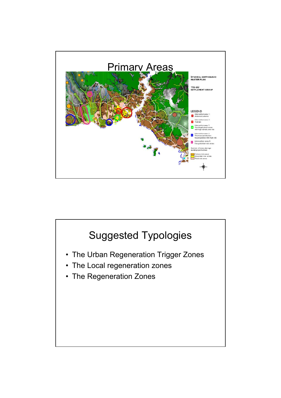

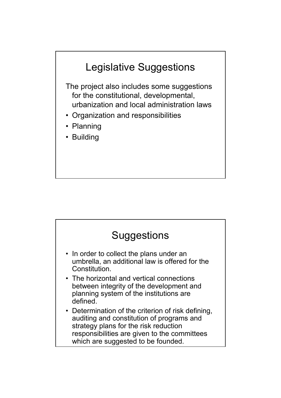

The project also includes some suggestions for the constitutional, developmental, urbanization and local administration laws

- Organization and responsibilities
- Planning
- Building

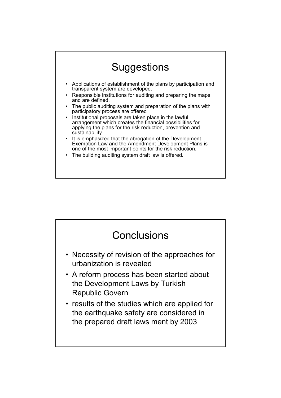